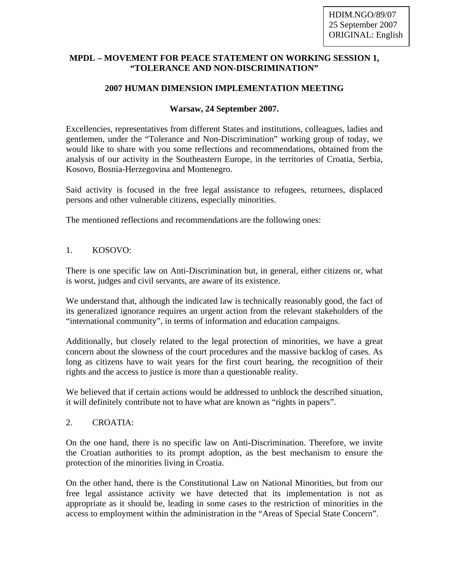#### **MPDL – MOVEMENT FOR PEACE STATEMENT ON WORKING SESSION 1, "TOLERANCE AND NON-DISCRIMINATION"**

# **2007 HUMAN DIMENSION IMPLEMENTATION MEETING**

### **Warsaw, 24 September 2007.**

Excellencies, representatives from different States and institutions, colleagues, ladies and gentlemen, under the "Tolerance and Non-Discrimination" working group of today, we would like to share with you some reflections and recommendations, obtained from the analysis of our activity in the Southeastern Europe, in the territories of Croatia, Serbia, Kosovo, Bosnia-Herzegovina and Montenegro.

Said activity is focused in the free legal assistance to refugees, returnees, displaced persons and other vulnerable citizens, especially minorities.

The mentioned reflections and recommendations are the following ones:

## 1. KOSOVO:

There is one specific law on Anti-Discrimination but, in general, either citizens or, what is worst, judges and civil servants, are aware of its existence.

We understand that, although the indicated law is technically reasonably good, the fact of its generalized ignorance requires an urgent action from the relevant stakeholders of the "international community", in terms of information and education campaigns.

Additionally, but closely related to the legal protection of minorities, we have a great concern about the slowness of the court procedures and the massive backlog of cases. As long as citizens have to wait years for the first court hearing, the recognition of their rights and the access to justice is more than a questionable reality.

We believed that if certain actions would be addressed to unblock the described situation, it will definitely contribute not to have what are known as "rights in papers".

#### 2. CROATIA:

On the one hand, there is no specific law on Anti-Discrimination. Therefore, we invite the Croatian authorities to its prompt adoption, as the best mechanism to ensure the protection of the minorities living in Croatia.

On the other hand, there is the Constitutional Law on National Minorities, but from our free legal assistance activity we have detected that its implementation is not as appropriate as it should be, leading in some cases to the restriction of minorities in the access to employment within the administration in the "Areas of Special State Concern".